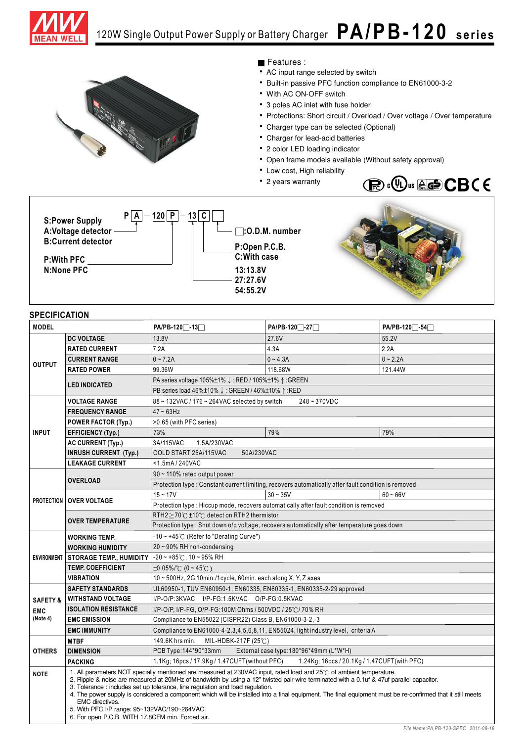



## Features :

- AC input range selected by switch
- Built-in passive PFC function compliance to EN61000-3-2
- With AC ON-OFF switch
- 3 poles AC inlet with fuse holder
- Protections: Short circuit / Overload / Over voltage / Over temperature
- Charger type can be selected (Optional)
- Charger for lead-acid batteries
- 2 color LED loading indicator
- Open frame models available (Without safety approval)
- Low cost, High reliability
- 2 years warranty





**P:Open P.C.B. C:With case 13:13.8V 27:27.6V 54:55.2V**



## **SPECIFICATION**

| <b>MODEL</b>        |                                                                                                                                                                                                                                                                                                                                                                                                                                                                                                                                                                                                                                               | PA/PB-120 -13                                                                               | PA/PB-120 -27                                                                                        | PA/PB-120 <sup>-54</sup> |
|---------------------|-----------------------------------------------------------------------------------------------------------------------------------------------------------------------------------------------------------------------------------------------------------------------------------------------------------------------------------------------------------------------------------------------------------------------------------------------------------------------------------------------------------------------------------------------------------------------------------------------------------------------------------------------|---------------------------------------------------------------------------------------------|------------------------------------------------------------------------------------------------------|--------------------------|
| <b>OUTPUT</b>       | <b>DC VOLTAGE</b>                                                                                                                                                                                                                                                                                                                                                                                                                                                                                                                                                                                                                             | 13.8V                                                                                       | 27.6V                                                                                                | 55.2V                    |
|                     | <b>RATED CURRENT</b>                                                                                                                                                                                                                                                                                                                                                                                                                                                                                                                                                                                                                          | 7.2A                                                                                        | 4.3A                                                                                                 | 2.2A                     |
|                     | <b>CURRENT RANGE</b>                                                                                                                                                                                                                                                                                                                                                                                                                                                                                                                                                                                                                          | $0 - 7.2A$                                                                                  | $0 - 4.3A$                                                                                           | $0 - 2.2A$               |
|                     | <b>RATED POWER</b>                                                                                                                                                                                                                                                                                                                                                                                                                                                                                                                                                                                                                            | 99.36W                                                                                      | 118.68W                                                                                              | 121.44W                  |
|                     | <b>LED INDICATED</b>                                                                                                                                                                                                                                                                                                                                                                                                                                                                                                                                                                                                                          | PA series voltage 105%±1% ↓: RED / 105%±1% ↑: GREEN                                         |                                                                                                      |                          |
|                     |                                                                                                                                                                                                                                                                                                                                                                                                                                                                                                                                                                                                                                               | PB series load 46%±10% ↓: GREEN / 46%±10% ↑:RED                                             |                                                                                                      |                          |
| <b>INPUT</b>        | <b>VOLTAGE RANGE</b>                                                                                                                                                                                                                                                                                                                                                                                                                                                                                                                                                                                                                          | 248~370VDC<br>88 ~ 132VAC / 176 ~ 264VAC selected by switch                                 |                                                                                                      |                          |
|                     | <b>FREQUENCY RANGE</b>                                                                                                                                                                                                                                                                                                                                                                                                                                                                                                                                                                                                                        | $47 - 63$ Hz                                                                                |                                                                                                      |                          |
|                     | <b>POWER FACTOR (Typ.)</b>                                                                                                                                                                                                                                                                                                                                                                                                                                                                                                                                                                                                                    | >0.65 (with PFC series)                                                                     |                                                                                                      |                          |
|                     | <b>EFFICIENCY (Typ.)</b>                                                                                                                                                                                                                                                                                                                                                                                                                                                                                                                                                                                                                      | 73%                                                                                         | 79%                                                                                                  | 79%                      |
|                     | <b>AC CURRENT (Typ.)</b>                                                                                                                                                                                                                                                                                                                                                                                                                                                                                                                                                                                                                      | 3A/115VAC<br>1.5A/230VAC                                                                    |                                                                                                      |                          |
|                     | <b>INRUSH CURRENT (Typ.)</b>                                                                                                                                                                                                                                                                                                                                                                                                                                                                                                                                                                                                                  | COLD START 25A/115VAC<br>50A/230VAC                                                         |                                                                                                      |                          |
|                     | <b>LEAKAGE CURRENT</b>                                                                                                                                                                                                                                                                                                                                                                                                                                                                                                                                                                                                                        | <1.5mA/240VAC                                                                               |                                                                                                      |                          |
|                     | <b>OVERLOAD</b>                                                                                                                                                                                                                                                                                                                                                                                                                                                                                                                                                                                                                               | 90 ~ 110% rated output power                                                                |                                                                                                      |                          |
|                     |                                                                                                                                                                                                                                                                                                                                                                                                                                                                                                                                                                                                                                               |                                                                                             | Protection type : Constant current limiting, recovers automatically after fault condition is removed |                          |
|                     | <b>PROTECTION OVER VOLTAGE</b>                                                                                                                                                                                                                                                                                                                                                                                                                                                                                                                                                                                                                | $15 - 17V$                                                                                  | $30 - 35V$                                                                                           | $60 - 66V$               |
|                     |                                                                                                                                                                                                                                                                                                                                                                                                                                                                                                                                                                                                                                               | Protection type : Hiccup mode, recovers automatically after fault condition is removed      |                                                                                                      |                          |
|                     | <b>OVER TEMPERATURE</b>                                                                                                                                                                                                                                                                                                                                                                                                                                                                                                                                                                                                                       | RTH2≥70°C ±10°C detect on RTH2 thermistor                                                   |                                                                                                      |                          |
|                     |                                                                                                                                                                                                                                                                                                                                                                                                                                                                                                                                                                                                                                               | Protection type : Shut down o/p voltage, recovers automatically after temperature goes down |                                                                                                      |                          |
|                     | <b>WORKING TEMP.</b>                                                                                                                                                                                                                                                                                                                                                                                                                                                                                                                                                                                                                          | -10 ~ +45°C (Refer to "Derating Curve")                                                     |                                                                                                      |                          |
|                     | <b>WORKING HUMIDITY</b>                                                                                                                                                                                                                                                                                                                                                                                                                                                                                                                                                                                                                       | 20~90% RH non-condensing                                                                    |                                                                                                      |                          |
|                     | ENVIRONMENT STORAGE TEMP., HUMIDITY                                                                                                                                                                                                                                                                                                                                                                                                                                                                                                                                                                                                           | $-20 - +85^{\circ}$ C, 10 ~ 95% RH                                                          |                                                                                                      |                          |
|                     | <b>TEMP. COEFFICIENT</b>                                                                                                                                                                                                                                                                                                                                                                                                                                                                                                                                                                                                                      | $\pm 0.05\%$ /°C (0~45°C)                                                                   |                                                                                                      |                          |
|                     | <b>VIBRATION</b>                                                                                                                                                                                                                                                                                                                                                                                                                                                                                                                                                                                                                              | 10~500Hz, 2G 10min./1cycle, 60min. each along X, Y, Z axes                                  |                                                                                                      |                          |
|                     | <b>SAFETY STANDARDS</b>                                                                                                                                                                                                                                                                                                                                                                                                                                                                                                                                                                                                                       | UL60950-1, TUV EN60950-1, EN60335, EN60335-1, EN60335-2-29 approved                         |                                                                                                      |                          |
| <b>SAFETY &amp;</b> | <b>WITHSTAND VOLTAGE</b>                                                                                                                                                                                                                                                                                                                                                                                                                                                                                                                                                                                                                      | I/P-O/P:3KVAC I/P-FG:1.5KVAC O/P-FG:0.5KVAC                                                 |                                                                                                      |                          |
| <b>EMC</b>          | <b>ISOLATION RESISTANCE</b><br>I/P-O/P, I/P-FG, O/P-FG:100M Ohms / 500VDC / 25°C / 70% RH                                                                                                                                                                                                                                                                                                                                                                                                                                                                                                                                                     |                                                                                             |                                                                                                      |                          |
| (Note 4)            | <b>EMC EMISSION</b>                                                                                                                                                                                                                                                                                                                                                                                                                                                                                                                                                                                                                           | Compliance to EN55022 (CISPR22) Class B, EN61000-3-2,-3                                     |                                                                                                      |                          |
|                     | <b>EMC IMMUNITY</b><br>Compliance to EN61000-4-2, 3, 4, 5, 6, 8, 11, EN55024, light industry level, criteria A                                                                                                                                                                                                                                                                                                                                                                                                                                                                                                                                |                                                                                             |                                                                                                      |                          |
|                     | <b>MTBF</b>                                                                                                                                                                                                                                                                                                                                                                                                                                                                                                                                                                                                                                   | 149.6K hrs min.<br>MIL-HDBK-217F (25℃)                                                      |                                                                                                      |                          |
| <b>OTHERS</b>       | <b>DIMENSION</b>                                                                                                                                                                                                                                                                                                                                                                                                                                                                                                                                                                                                                              | PCB Type:144*90*33mm                                                                        | External case type: 180*96*49mm (L*W*H)                                                              |                          |
|                     | <b>PACKING</b>                                                                                                                                                                                                                                                                                                                                                                                                                                                                                                                                                                                                                                | 1.1Kg; 16pcs / 17.9Kg / 1.47CUFT(without PFC)                                               | 1.24Kg; 16pcs / 20.1Kg / 1.47CUFT(with PFC)                                                          |                          |
| <b>NOTE</b>         | 1. All parameters NOT specially mentioned are measured at 230VAC input, rated load and 25°C of ambient temperature.<br>2. Ripple & noise are measured at 20MHz of bandwidth by using a 12" twisted pair-wire terminated with a 0.1uf & 47uf parallel capacitor.<br>3. Tolerance : includes set up tolerance, line regulation and load regulation.<br>4. The power supply is considered a component which will be installed into a final equipment. The final equipment must be re-confirmed that it still meets<br><b>EMC</b> directives.<br>5. With PFC I/P range: 95~132VAC/190~264VAC.<br>6. For open P.C.B. WITH 17.8CFM min. Forced air. |                                                                                             |                                                                                                      |                          |